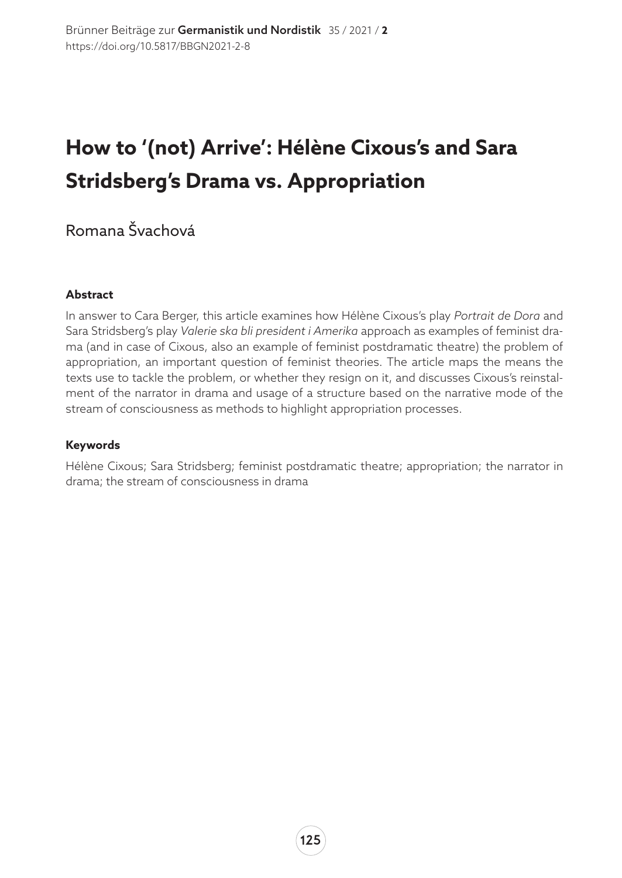# **How to '(not) Arrive': Hélène Cixous's and Sara Stridsberg's Drama vs. Appropriation**

## Romana Švachová

#### **Abstract**

In answer to Cara Berger, this article examines how Hélène Cixous's play *Portrait de Dora* and Sara Stridsberg's play *Valerie ska bli president i Amerika* approach as examples of feminist drama (and in case of Cixous, also an example of feminist postdramatic theatre) the problem of appropriation, an important question of feminist theories. The article maps the means the texts use to tackle the problem, or whether they resign on it, and discusses Cixous's reinstalment of the narrator in drama and usage of a structure based on the narrative mode of the stream of consciousness as methods to highlight appropriation processes.

#### **Keywords**

Hélène Cixous; Sara Stridsberg; feminist postdramatic theatre; appropriation; the narrator in drama; the stream of consciousness in drama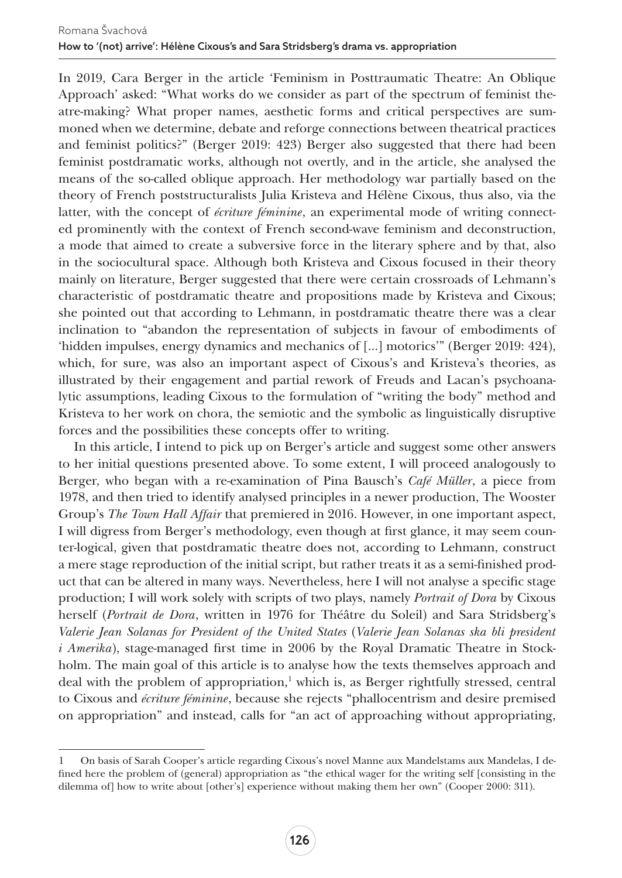In 2019, Cara Berger in the article 'Feminism in Posttraumatic Theatre: An Oblique Approach' asked: "What works do we consider as part of the spectrum of feminist theatre-making? What proper names, aesthetic forms and critical perspectives are summoned when we determine, debate and reforge connections between theatrical practices and feminist politics?" (Berger 2019: 423) Berger also suggested that there had been feminist postdramatic works, although not overtly, and in the article, she analysed the means of the so-called oblique approach. Her methodology war partially based on the theory of French poststructuralists Julia Kristeva and Hélène Cixous, thus also, via the latter, with the concept of *écriture féminine*, an experimental mode of writing connected prominently with the context of French second-wave feminism and deconstruction, a mode that aimed to create a subversive force in the literary sphere and by that, also in the sociocultural space. Although both Kristeva and Cixous focused in their theory mainly on literature, Berger suggested that there were certain crossroads of Lehmann's characteristic of postdramatic theatre and propositions made by Kristeva and Cixous; she pointed out that according to Lehmann, in postdramatic theatre there was a clear inclination to "abandon the representation of subjects in favour of embodiments of 'hidden impulses, energy dynamics and mechanics of […] motorics'" (Berger 2019: 424), which, for sure, was also an important aspect of Cixous's and Kristeva's theories, as illustrated by their engagement and partial rework of Freuds and Lacan's psychoanalytic assumptions, leading Cixous to the formulation of "writing the body" method and Kristeva to her work on chora, the semiotic and the symbolic as linguistically disruptive forces and the possibilities these concepts offer to writing.

In this article, I intend to pick up on Berger's article and suggest some other answers to her initial questions presented above. To some extent, I will proceed analogously to Berger, who began with a re-examination of Pina Bausch's *Café Müller*, a piece from 1978, and then tried to identify analysed principles in a newer production, The Wooster Group's *The Town Hall Affair* that premiered in 2016. However, in one important aspect, I will digress from Berger's methodology, even though at first glance, it may seem counter-logical, given that postdramatic theatre does not, according to Lehmann, construct a mere stage reproduction of the initial script, but rather treats it as a semi-finished product that can be altered in many ways. Nevertheless, here I will not analyse a specific stage production; I will work solely with scripts of two plays, namely *Portrait of Dora* by Cixous herself (*Portrait de Dora*, written in 1976 for Théâtre du Soleil) and Sara Stridsberg's *Valerie Jean Solanas for President of the United States* (*Valerie Jean Solanas ska bli president i Amerika*), stage-managed first time in 2006 by the Royal Dramatic Theatre in Stockholm. The main goal of this article is to analyse how the texts themselves approach and deal with the problem of appropriation,<sup>1</sup> which is, as Berger rightfully stressed, central to Cixous and *écriture féminine*, because she rejects "phallocentrism and desire premised on appropriation" and instead, calls for "an act of approaching without appropriating,

<sup>1</sup> On basis of Sarah Cooper's article regarding Cixous's novel Manne aux Mandelstams aux Mandelas, I defined here the problem of (general) appropriation as "the ethical wager for the writing self [consisting in the dilemma of] how to write about [other's] experience without making them her own" (Cooper 2000: 311).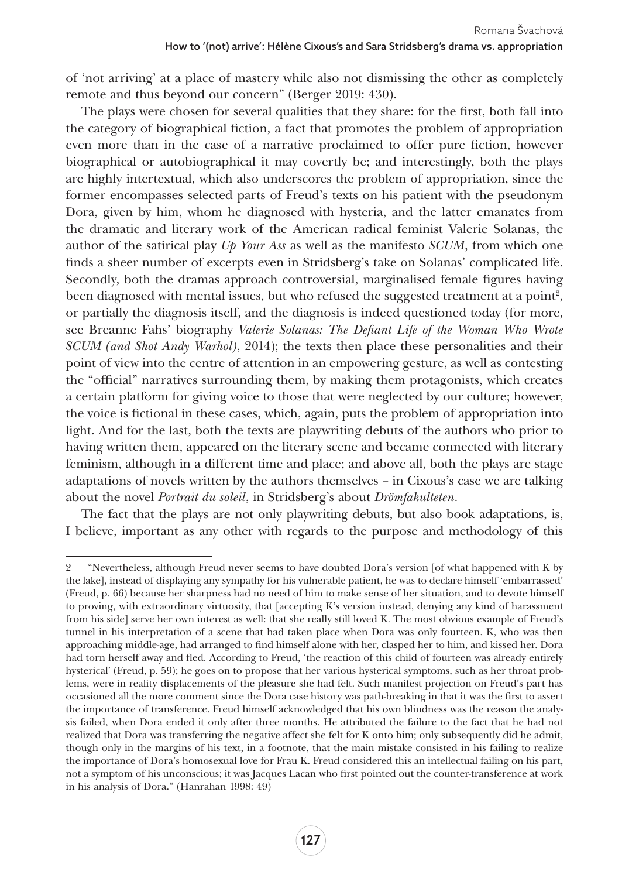of 'not arriving' at a place of mastery while also not dismissing the other as completely remote and thus beyond our concern" (Berger 2019: 430).

The plays were chosen for several qualities that they share: for the first, both fall into the category of biographical fiction, a fact that promotes the problem of appropriation even more than in the case of a narrative proclaimed to offer pure fiction, however biographical or autobiographical it may covertly be; and interestingly, both the plays are highly intertextual, which also underscores the problem of appropriation, since the former encompasses selected parts of Freud's texts on his patient with the pseudonym Dora, given by him, whom he diagnosed with hysteria, and the latter emanates from the dramatic and literary work of the American radical feminist Valerie Solanas, the author of the satirical play *Up Your Ass* as well as the manifesto *SCUM*, from which one finds a sheer number of excerpts even in Stridsberg's take on Solanas' complicated life. Secondly, both the dramas approach controversial, marginalised female figures having been diagnosed with mental issues, but who refused the suggested treatment at a point<sup>2</sup>, or partially the diagnosis itself, and the diagnosis is indeed questioned today (for more, see Breanne Fahs' biography *Valerie Solanas: The Defiant Life of the Woman Who Wrote SCUM (and Shot Andy Warhol)*, 2014); the texts then place these personalities and their point of view into the centre of attention in an empowering gesture, as well as contesting the "official" narratives surrounding them, by making them protagonists, which creates a certain platform for giving voice to those that were neglected by our culture; however, the voice is fictional in these cases, which, again, puts the problem of appropriation into light. And for the last, both the texts are playwriting debuts of the authors who prior to having written them, appeared on the literary scene and became connected with literary feminism, although in a different time and place; and above all, both the plays are stage adaptations of novels written by the authors themselves – in Cixous's case we are talking about the novel *Portrait du soleil*, in Stridsberg's about *Drömfakulteten*.

The fact that the plays are not only playwriting debuts, but also book adaptations, is, I believe, important as any other with regards to the purpose and methodology of this

<sup>2</sup> "Nevertheless, although Freud never seems to have doubted Dora's version [of what happened with K by the lake], instead of displaying any sympathy for his vulnerable patient, he was to declare himself 'embarrassed' (Freud, p. 66) because her sharpness had no need of him to make sense of her situation, and to devote himself to proving, with extraordinary virtuosity, that [accepting K's version instead, denying any kind of harassment from his side] serve her own interest as well: that she really still loved K. The most obvious example of Freud's tunnel in his interpretation of a scene that had taken place when Dora was only fourteen. K, who was then approaching middle-age, had arranged to find himself alone with her, clasped her to him, and kissed her. Dora had torn herself away and fled. According to Freud, 'the reaction of this child of fourteen was already entirely hysterical' (Freud, p. 59); he goes on to propose that her various hysterical symptoms, such as her throat problems, were in reality displacements of the pleasure she had felt. Such manifest projection on Freud's part has occasioned all the more comment since the Dora case history was path-breaking in that it was the first to assert the importance of transference. Freud himself acknowledged that his own blindness was the reason the analysis failed, when Dora ended it only after three months. He attributed the failure to the fact that he had not realized that Dora was transferring the negative affect she felt for K onto him; only subsequently did he admit, though only in the margins of his text, in a footnote, that the main mistake consisted in his failing to realize the importance of Dora's homosexual love for Frau K. Freud considered this an intellectual failing on his part, not a symptom of his unconscious; it was Jacques Lacan who first pointed out the counter-transference at work in his analysis of Dora." (Hanrahan 1998: 49)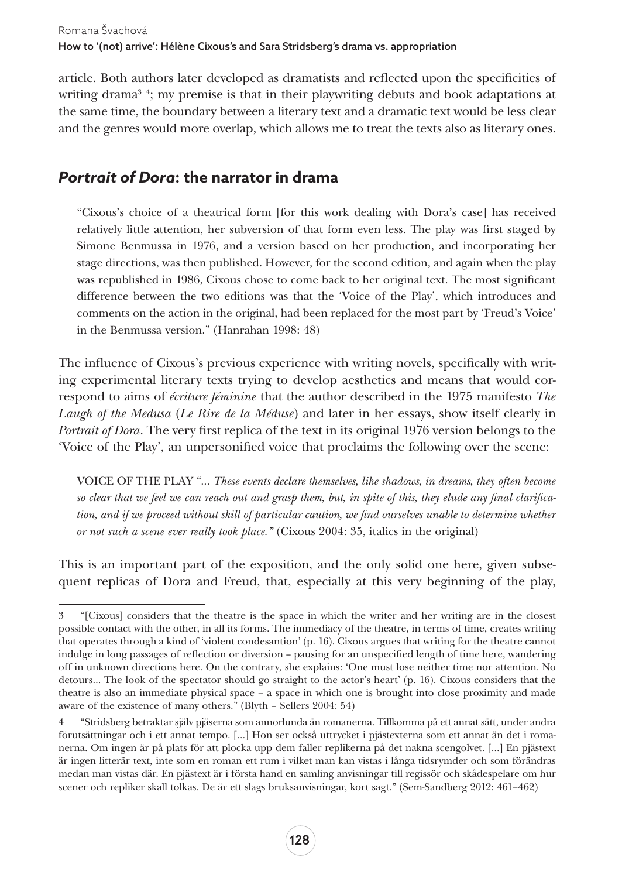article. Both authors later developed as dramatists and reflected upon the specificities of writing drama<sup>3</sup>; my premise is that in their playwriting debuts and book adaptations at the same time, the boundary between a literary text and a dramatic text would be less clear and the genres would more overlap, which allows me to treat the texts also as literary ones.

## *Portrait of Dora***: the narrator in drama**

"Cixous's choice of a theatrical form [for this work dealing with Dora's case] has received relatively little attention, her subversion of that form even less. The play was first staged by Simone Benmussa in 1976, and a version based on her production, and incorporating her stage directions, was then published. However, for the second edition, and again when the play was republished in 1986, Cixous chose to come back to her original text. The most significant difference between the two editions was that the 'Voice of the Play', which introduces and comments on the action in the original, had been replaced for the most part by 'Freud's Voice' in the Benmussa version." (Hanrahan 1998: 48)

The influence of Cixous's previous experience with writing novels, specifically with writing experimental literary texts trying to develop aesthetics and means that would correspond to aims of *écriture féminine* that the author described in the 1975 manifesto *The Laugh of the Medusa* (*Le Rire de la Méduse*) and later in her essays, show itself clearly in *Portrait of Dora*. The very first replica of the text in its original 1976 version belongs to the 'Voice of the Play', an unpersonified voice that proclaims the following over the scene:

VOICE OF THE PLAY "*… These events declare themselves, like shadows, in dreams, they often become so clear that we feel we can reach out and grasp them, but, in spite of this, they elude any final clarification, and if we proceed without skill of particular caution, we find ourselves unable to determine whether or not such a scene ever really took place."* (Cixous 2004: 35, italics in the original)

This is an important part of the exposition, and the only solid one here, given subsequent replicas of Dora and Freud, that, especially at this very beginning of the play,

<sup>3</sup> "[Cixous] considers that the theatre is the space in which the writer and her writing are in the closest possible contact with the other, in all its forms. The immediacy of the theatre, in terms of time, creates writing that operates through a kind of 'violent condesantion' (p. 16). Cixous argues that writing for the theatre cannot indulge in long passages of reflection or diversion – pausing for an unspecified length of time here, wandering off in unknown directions here. On the contrary, she explains: 'One must lose neither time nor attention. No detours… The look of the spectator should go straight to the actor's heart' (p. 16). Cixous considers that the theatre is also an immediate physical space – a space in which one is brought into close proximity and made aware of the existence of many others." (Blyth – Sellers 2004: 54)

<sup>4</sup> "Stridsberg betraktar själv pjäserna som annorlunda än romanerna. Tillkomma på ett annat sätt, under andra förutsättningar och i ett annat tempo. […] Hon ser också uttrycket i pjästexterna som ett annat än det i romanerna. Om ingen är på plats för att plocka upp dem faller replikerna på det nakna scengolvet. […] En pjästext är ingen litterär text, inte som en roman ett rum i vilket man kan vistas i långa tidsrymder och som förändras medan man vistas där. En pjästext är i första hand en samling anvisningar till regissör och skådespelare om hur scener och repliker skall tolkas. De är ett slags bruksanvisningar, kort sagt." (Sem-Sandberg 2012: 461–462)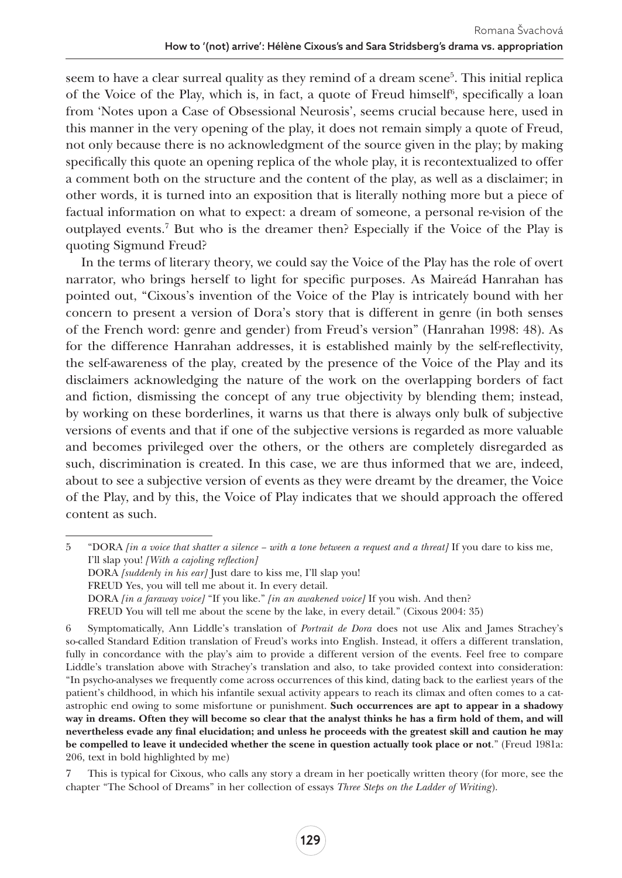seem to have a clear surreal quality as they remind of a dream scene<sup>5</sup>. This initial replica of the Voice of the Play, which is, in fact, a quote of Freud himself<sup>6</sup>, specifically a loan from 'Notes upon a Case of Obsessional Neurosis', seems crucial because here, used in this manner in the very opening of the play, it does not remain simply a quote of Freud, not only because there is no acknowledgment of the source given in the play; by making specifically this quote an opening replica of the whole play, it is recontextualized to offer a comment both on the structure and the content of the play, as well as a disclaimer; in other words, it is turned into an exposition that is literally nothing more but a piece of factual information on what to expect: a dream of someone, a personal re-vision of the outplayed events.7 But who is the dreamer then? Especially if the Voice of the Play is quoting Sigmund Freud?

In the terms of literary theory, we could say the Voice of the Play has the role of overt narrator, who brings herself to light for specific purposes. As Maireád Hanrahan has pointed out, "Cixous's invention of the Voice of the Play is intricately bound with her concern to present a version of Dora's story that is different in genre (in both senses of the French word: genre and gender) from Freud's version" (Hanrahan 1998: 48). As for the difference Hanrahan addresses, it is established mainly by the self-reflectivity, the self-awareness of the play, created by the presence of the Voice of the Play and its disclaimers acknowledging the nature of the work on the overlapping borders of fact and fiction, dismissing the concept of any true objectivity by blending them; instead, by working on these borderlines, it warns us that there is always only bulk of subjective versions of events and that if one of the subjective versions is regarded as more valuable and becomes privileged over the others, or the others are completely disregarded as such, discrimination is created. In this case, we are thus informed that we are, indeed, about to see a subjective version of events as they were dreamt by the dreamer, the Voice of the Play, and by this, the Voice of Play indicates that we should approach the offered content as such.

5 "DORA *[in a voice that shatter a silence – with a tone between a request and a threat]* If you dare to kiss me, I'll slap you! *[With a cajoling reflection]* DORA *[suddenly in his ear]* Just dare to kiss me, I'll slap you! FREUD Yes, you will tell me about it. In every detail. DORA *[in a faraway voice]* "If you like." *[in an awakened voice]* If you wish. And then? FREUD You will tell me about the scene by the lake, in every detail." (Cixous 2004: 35)

<sup>6</sup> Symptomatically, Ann Liddle's translation of *Portrait de Dora* does not use Alix and James Strachey's so-called Standard Edition translation of Freud's works into English. Instead, it offers a different translation, fully in concordance with the play's aim to provide a different version of the events. Feel free to compare Liddle's translation above with Strachey's translation and also, to take provided context into consideration: "In psycho-analyses we frequently come across occurrences of this kind, dating back to the earliest years of the patient's childhood, in which his infantile sexual activity appears to reach its climax and often comes to a catastrophic end owing to some misfortune or punishment. Such occurrences are apt to appear in a shadowy way in dreams. Often they will become so clear that the analyst thinks he has a firm hold of them, and will nevertheless evade any final elucidation; and unless he proceeds with the greatest skill and caution he may be compelled to leave it undecided whether the scene in question actually took place or not." (Freud 1981a: 206, text in bold highlighted by me)

<sup>7</sup> This is typical for Cixous, who calls any story a dream in her poetically written theory (for more, see the chapter "The School of Dreams" in her collection of essays *Three Steps on the Ladder of Writing*).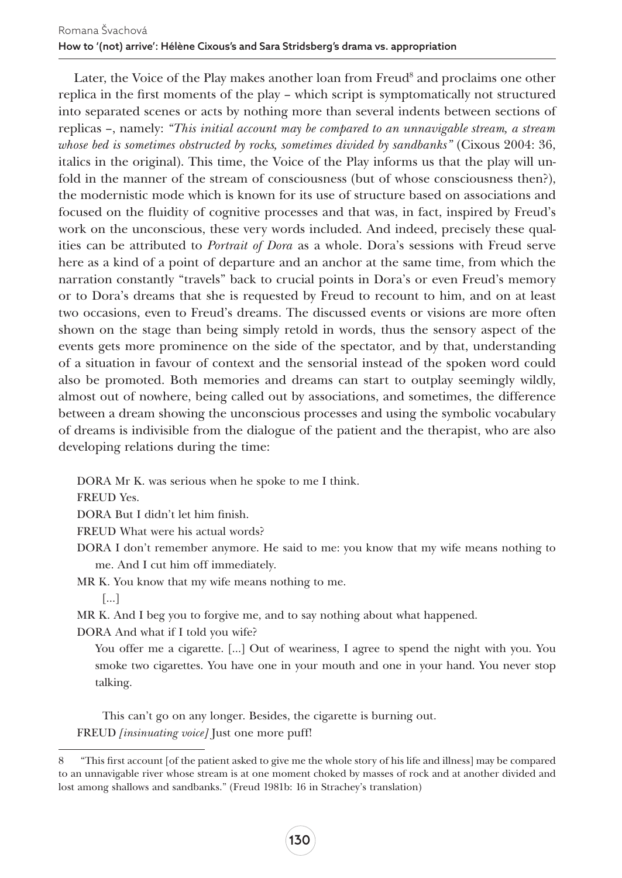Later, the Voice of the Play makes another loan from Freud<sup>8</sup> and proclaims one other replica in the first moments of the play – which script is symptomatically not structured into separated scenes or acts by nothing more than several indents between sections of replicas –, namely: *"This initial account may be compared to an unnavigable stream, a stream whose bed is sometimes obstructed by rocks, sometimes divided by sandbanks"* (Cixous 2004: 36, italics in the original). This time, the Voice of the Play informs us that the play will unfold in the manner of the stream of consciousness (but of whose consciousness then?), the modernistic mode which is known for its use of structure based on associations and focused on the fluidity of cognitive processes and that was, in fact, inspired by Freud's work on the unconscious, these very words included. And indeed, precisely these qualities can be attributed to *Portrait of Dora* as a whole. Dora's sessions with Freud serve here as a kind of a point of departure and an anchor at the same time, from which the narration constantly "travels" back to crucial points in Dora's or even Freud's memory or to Dora's dreams that she is requested by Freud to recount to him, and on at least two occasions, even to Freud's dreams. The discussed events or visions are more often shown on the stage than being simply retold in words, thus the sensory aspect of the events gets more prominence on the side of the spectator, and by that, understanding of a situation in favour of context and the sensorial instead of the spoken word could also be promoted. Both memories and dreams can start to outplay seemingly wildly, almost out of nowhere, being called out by associations, and sometimes, the difference between a dream showing the unconscious processes and using the symbolic vocabulary of dreams is indivisible from the dialogue of the patient and the therapist, who are also developing relations during the time:

DORA Mr K. was serious when he spoke to me I think.

FREUD Yes.

DORA But I didn't let him finish.

FREUD What were his actual words?

DORA I don't remember anymore. He said to me: you know that my wife means nothing to me. And I cut him off immediately.

MR K. You know that my wife means nothing to me.

[…]

MR K. And I beg you to forgive me, and to say nothing about what happened.

DORA And what if I told you wife?

You offer me a cigarette. […] Out of weariness, I agree to spend the night with you. You smoke two cigarettes. You have one in your mouth and one in your hand. You never stop talking.

This can't go on any longer. Besides, the cigarette is burning out. FREUD *[insinuating voice]* Just one more puff!

<sup>8</sup> "This first account [of the patient asked to give me the whole story of his life and illness] may be compared to an unnavigable river whose stream is at one moment choked by masses of rock and at another divided and lost among shallows and sandbanks." (Freud 1981b: 16 in Strachey's translation)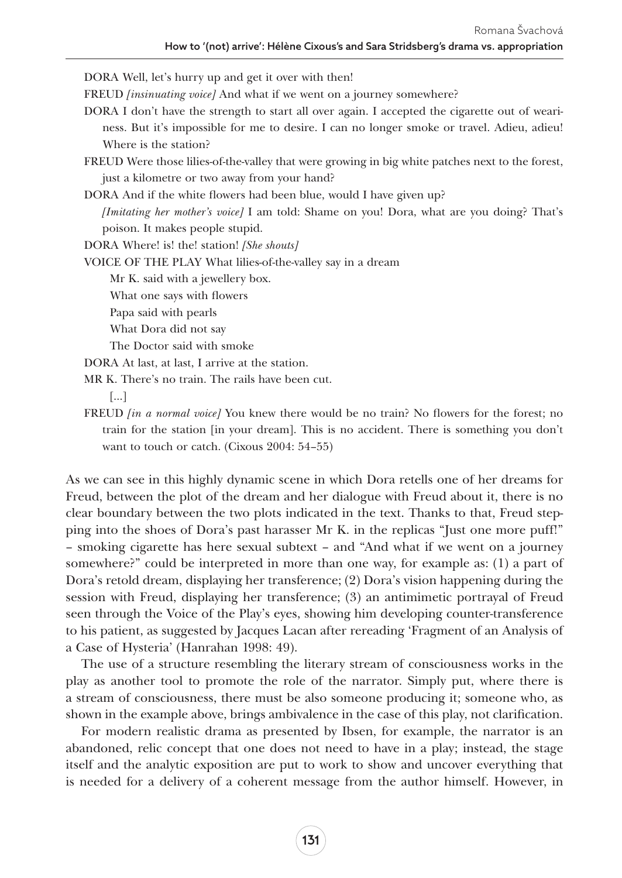DORA Well, let's hurry up and get it over with then!

FREUD *[insinuating voice]* And what if we went on a journey somewhere?

DORA I don't have the strength to start all over again. I accepted the cigarette out of weariness. But it's impossible for me to desire. I can no longer smoke or travel. Adieu, adieu! Where is the station?

FREUD Were those lilies-of-the-valley that were growing in big white patches next to the forest, just a kilometre or two away from your hand?

DORA And if the white flowers had been blue, would I have given up?

*[Imitating her mother's voice]* I am told: Shame on you! Dora, what are you doing? That's poison. It makes people stupid.

DORA Where! is! the! station! *[She shouts]*

VOICE OF THE PLAY What lilies-of-the-valley say in a dream

Mr K. said with a jewellery box.

What one says with flowers

Papa said with pearls

What Dora did not say

The Doctor said with smoke

DORA At last, at last, I arrive at the station.

MR K. There's no train. The rails have been cut.

[…]

FREUD *[in a normal voice]* You knew there would be no train? No flowers for the forest; no train for the station [in your dream]. This is no accident. There is something you don't want to touch or catch. (Cixous 2004: 54–55)

As we can see in this highly dynamic scene in which Dora retells one of her dreams for Freud, between the plot of the dream and her dialogue with Freud about it, there is no clear boundary between the two plots indicated in the text. Thanks to that, Freud stepping into the shoes of Dora's past harasser Mr K. in the replicas "Just one more puff!" – smoking cigarette has here sexual subtext – and "And what if we went on a journey somewhere?" could be interpreted in more than one way, for example as: (1) a part of Dora's retold dream, displaying her transference; (2) Dora's vision happening during the session with Freud, displaying her transference; (3) an antimimetic portrayal of Freud seen through the Voice of the Play's eyes, showing him developing counter-transference to his patient, as suggested by Jacques Lacan after rereading 'Fragment of an Analysis of a Case of Hysteria' (Hanrahan 1998: 49).

The use of a structure resembling the literary stream of consciousness works in the play as another tool to promote the role of the narrator. Simply put, where there is a stream of consciousness, there must be also someone producing it; someone who, as shown in the example above, brings ambivalence in the case of this play, not clarification.

For modern realistic drama as presented by Ibsen, for example, the narrator is an abandoned, relic concept that one does not need to have in a play; instead, the stage itself and the analytic exposition are put to work to show and uncover everything that is needed for a delivery of a coherent message from the author himself. However, in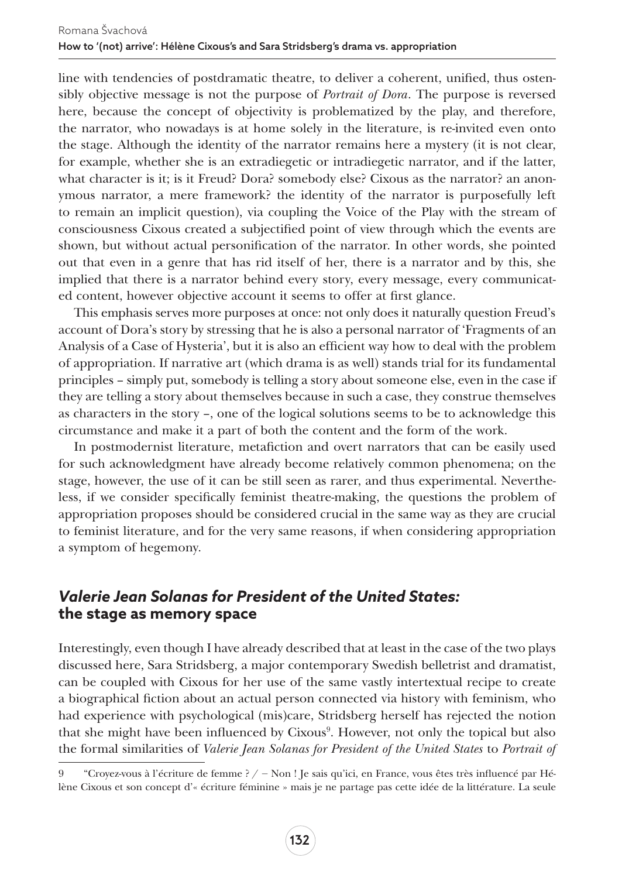line with tendencies of postdramatic theatre, to deliver a coherent, unified, thus ostensibly objective message is not the purpose of *Portrait of Dora*. The purpose is reversed here, because the concept of objectivity is problematized by the play, and therefore, the narrator, who nowadays is at home solely in the literature, is re-invited even onto the stage. Although the identity of the narrator remains here a mystery (it is not clear, for example, whether she is an extradiegetic or intradiegetic narrator, and if the latter, what character is it; is it Freud? Dora? somebody else? Cixous as the narrator? an anonymous narrator, a mere framework? the identity of the narrator is purposefully left to remain an implicit question), via coupling the Voice of the Play with the stream of consciousness Cixous created a subjectified point of view through which the events are shown, but without actual personification of the narrator. In other words, she pointed out that even in a genre that has rid itself of her, there is a narrator and by this, she implied that there is a narrator behind every story, every message, every communicated content, however objective account it seems to offer at first glance.

This emphasis serves more purposes at once: not only does it naturally question Freud's account of Dora's story by stressing that he is also a personal narrator of 'Fragments of an Analysis of a Case of Hysteria', but it is also an efficient way how to deal with the problem of appropriation. If narrative art (which drama is as well) stands trial for its fundamental principles – simply put, somebody is telling a story about someone else, even in the case if they are telling a story about themselves because in such a case, they construe themselves as characters in the story –, one of the logical solutions seems to be to acknowledge this circumstance and make it a part of both the content and the form of the work.

In postmodernist literature, metafiction and overt narrators that can be easily used for such acknowledgment have already become relatively common phenomena; on the stage, however, the use of it can be still seen as rarer, and thus experimental. Nevertheless, if we consider specifically feminist theatre-making, the questions the problem of appropriation proposes should be considered crucial in the same way as they are crucial to feminist literature, and for the very same reasons, if when considering appropriation a symptom of hegemony.

### *Valerie Jean Solanas for President of the United States:*  **the stage as memory space**

Interestingly, even though I have already described that at least in the case of the two plays discussed here, Sara Stridsberg, a major contemporary Swedish belletrist and dramatist, can be coupled with Cixous for her use of the same vastly intertextual recipe to create a biographical fiction about an actual person connected via history with feminism, who had experience with psychological (mis)care, Stridsberg herself has rejected the notion that she might have been influenced by Cixous<sup>9</sup>. However, not only the topical but also the formal similarities of *Valerie Jean Solanas for President of the United States* to *Portrait of* 

<sup>9</sup> "Croyez-vous à l'écriture de femme ? / ― Non ! Je sais qu'ici, en France, vous êtes très influencé par Hélène Cixous et son concept d'« écriture féminine » mais je ne partage pas cette idée de la littérature. La seule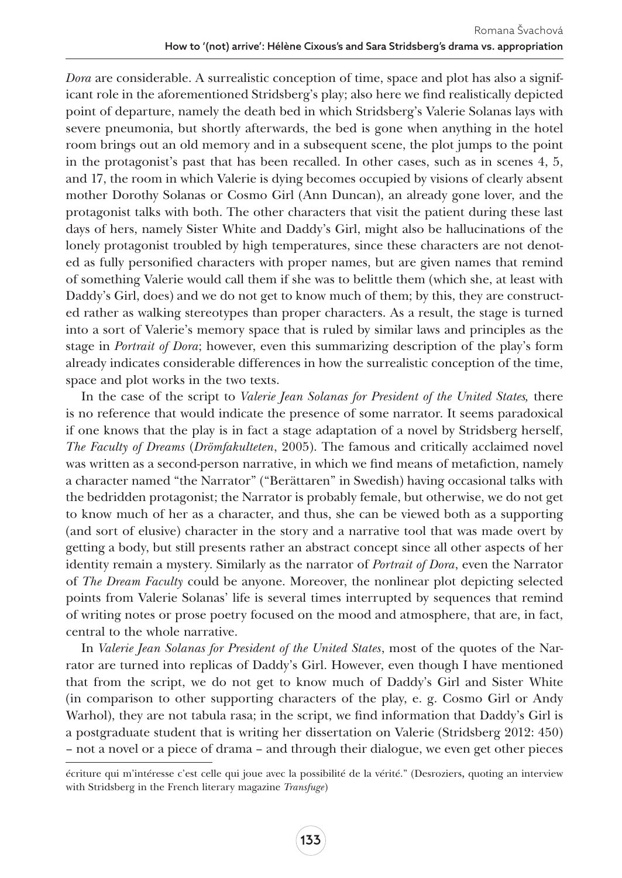*Dora* are considerable. A surrealistic conception of time, space and plot has also a significant role in the aforementioned Stridsberg's play; also here we find realistically depicted point of departure, namely the death bed in which Stridsberg's Valerie Solanas lays with severe pneumonia, but shortly afterwards, the bed is gone when anything in the hotel room brings out an old memory and in a subsequent scene, the plot jumps to the point in the protagonist's past that has been recalled. In other cases, such as in scenes 4, 5, and 17, the room in which Valerie is dying becomes occupied by visions of clearly absent mother Dorothy Solanas or Cosmo Girl (Ann Duncan), an already gone lover, and the protagonist talks with both. The other characters that visit the patient during these last days of hers, namely Sister White and Daddy's Girl, might also be hallucinations of the lonely protagonist troubled by high temperatures, since these characters are not denoted as fully personified characters with proper names, but are given names that remind of something Valerie would call them if she was to belittle them (which she, at least with Daddy's Girl, does) and we do not get to know much of them; by this, they are constructed rather as walking stereotypes than proper characters. As a result, the stage is turned into a sort of Valerie's memory space that is ruled by similar laws and principles as the stage in *Portrait of Dora*; however, even this summarizing description of the play's form already indicates considerable differences in how the surrealistic conception of the time, space and plot works in the two texts.

In the case of the script to *Valerie Jean Solanas for President of the United States,* there is no reference that would indicate the presence of some narrator. It seems paradoxical if one knows that the play is in fact a stage adaptation of a novel by Stridsberg herself, *The Faculty of Dreams* (*Drömfakulteten*, 2005). The famous and critically acclaimed novel was written as a second-person narrative, in which we find means of metafiction, namely a character named "the Narrator" ("Berättaren" in Swedish) having occasional talks with the bedridden protagonist; the Narrator is probably female, but otherwise, we do not get to know much of her as a character, and thus, she can be viewed both as a supporting (and sort of elusive) character in the story and a narrative tool that was made overt by getting a body, but still presents rather an abstract concept since all other aspects of her identity remain a mystery. Similarly as the narrator of *Portrait of Dora*, even the Narrator of *The Dream Faculty* could be anyone. Moreover, the nonlinear plot depicting selected points from Valerie Solanas' life is several times interrupted by sequences that remind of writing notes or prose poetry focused on the mood and atmosphere, that are, in fact, central to the whole narrative.

In *Valerie Jean Solanas for President of the United States*, most of the quotes of the Narrator are turned into replicas of Daddy's Girl. However, even though I have mentioned that from the script, we do not get to know much of Daddy's Girl and Sister White (in comparison to other supporting characters of the play, e. g. Cosmo Girl or Andy Warhol), they are not tabula rasa; in the script, we find information that Daddy's Girl is a postgraduate student that is writing her dissertation on Valerie (Stridsberg 2012: 450) – not a novel or a piece of drama – and through their dialogue, we even get other pieces

écriture qui m'intéresse c'est celle qui joue avec la possibilité de la vérité." (Desroziers, quoting an interview with Stridsberg in the French literary magazine *Transfuge*)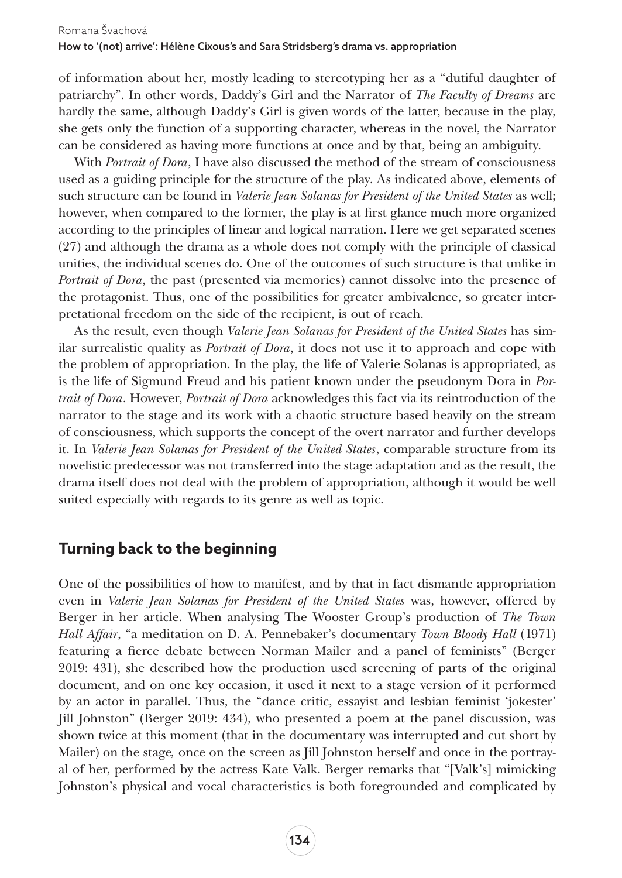of information about her, mostly leading to stereotyping her as a "dutiful daughter of patriarchy". In other words, Daddy's Girl and the Narrator of *The Faculty of Dreams* are hardly the same, although Daddy's Girl is given words of the latter, because in the play, she gets only the function of a supporting character, whereas in the novel, the Narrator can be considered as having more functions at once and by that, being an ambiguity.

With *Portrait of Dora*, I have also discussed the method of the stream of consciousness used as a guiding principle for the structure of the play. As indicated above, elements of such structure can be found in *Valerie Jean Solanas for President of the United States* as well; however, when compared to the former, the play is at first glance much more organized according to the principles of linear and logical narration. Here we get separated scenes (27) and although the drama as a whole does not comply with the principle of classical unities, the individual scenes do. One of the outcomes of such structure is that unlike in *Portrait of Dora*, the past (presented via memories) cannot dissolve into the presence of the protagonist. Thus, one of the possibilities for greater ambivalence, so greater interpretational freedom on the side of the recipient, is out of reach.

As the result, even though *Valerie Jean Solanas for President of the United States* has similar surrealistic quality as *Portrait of Dora*, it does not use it to approach and cope with the problem of appropriation. In the play, the life of Valerie Solanas is appropriated, as is the life of Sigmund Freud and his patient known under the pseudonym Dora in *Portrait of Dora*. However, *Portrait of Dora* acknowledges this fact via its reintroduction of the narrator to the stage and its work with a chaotic structure based heavily on the stream of consciousness, which supports the concept of the overt narrator and further develops it. In *Valerie Jean Solanas for President of the United States*, comparable structure from its novelistic predecessor was not transferred into the stage adaptation and as the result, the drama itself does not deal with the problem of appropriation, although it would be well suited especially with regards to its genre as well as topic.

## **Turning back to the beginning**

One of the possibilities of how to manifest, and by that in fact dismantle appropriation even in *Valerie Jean Solanas for President of the United States* was, however, offered by Berger in her article. When analysing The Wooster Group's production of *The Town Hall Affair*, "a meditation on D. A. Pennebaker's documentary *Town Bloody Hall* (1971) featuring a fierce debate between Norman Mailer and a panel of feminists" (Berger 2019: 431), she described how the production used screening of parts of the original document, and on one key occasion, it used it next to a stage version of it performed by an actor in parallel. Thus, the "dance critic, essayist and lesbian feminist 'jokester' Jill Johnston" (Berger 2019: 434), who presented a poem at the panel discussion, was shown twice at this moment (that in the documentary was interrupted and cut short by Mailer) on the stage*,* once on the screen as Jill Johnston herself and once in the portrayal of her, performed by the actress Kate Valk. Berger remarks that "[Valk's] mimicking Johnston's physical and vocal characteristics is both foregrounded and complicated by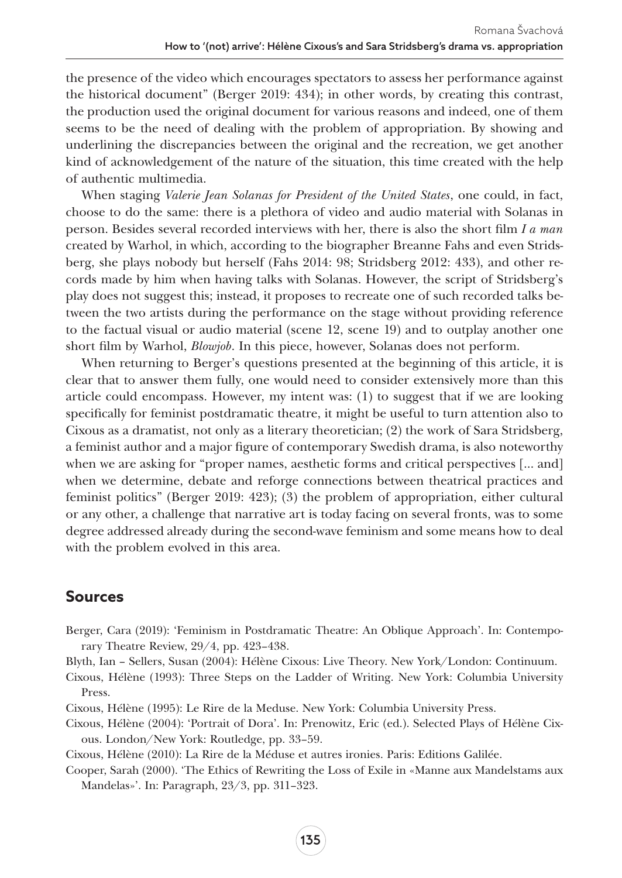the presence of the video which encourages spectators to assess her performance against the historical document" (Berger 2019: 434); in other words, by creating this contrast, the production used the original document for various reasons and indeed, one of them seems to be the need of dealing with the problem of appropriation. By showing and underlining the discrepancies between the original and the recreation, we get another kind of acknowledgement of the nature of the situation, this time created with the help of authentic multimedia.

When staging *Valerie Jean Solanas for President of the United States*, one could, in fact, choose to do the same: there is a plethora of video and audio material with Solanas in person. Besides several recorded interviews with her, there is also the short film *I a man* created by Warhol, in which, according to the biographer Breanne Fahs and even Stridsberg, she plays nobody but herself (Fahs 2014: 98; Stridsberg 2012: 433), and other records made by him when having talks with Solanas. However, the script of Stridsberg's play does not suggest this; instead, it proposes to recreate one of such recorded talks between the two artists during the performance on the stage without providing reference to the factual visual or audio material (scene 12, scene 19) and to outplay another one short film by Warhol, *Blowjob*. In this piece, however, Solanas does not perform.

When returning to Berger's questions presented at the beginning of this article, it is clear that to answer them fully, one would need to consider extensively more than this article could encompass. However, my intent was: (1) to suggest that if we are looking specifically for feminist postdramatic theatre, it might be useful to turn attention also to Cixous as a dramatist, not only as a literary theoretician; (2) the work of Sara Stridsberg, a feminist author and a major figure of contemporary Swedish drama, is also noteworthy when we are asking for "proper names, aesthetic forms and critical perspectives [... and] when we determine, debate and reforge connections between theatrical practices and feminist politics" (Berger 2019: 423); (3) the problem of appropriation, either cultural or any other, a challenge that narrative art is today facing on several fronts, was to some degree addressed already during the second-wave feminism and some means how to deal with the problem evolved in this area.

#### **Sources**

- Berger, Cara (2019): 'Feminism in Postdramatic Theatre: An Oblique Approach'. In: Contemporary Theatre Review, 29/4, pp. 423–438.
- Blyth, Ian Sellers, Susan (2004): Hélène Cixous: Live Theory. New York/London: Continuum.
- Cixous, Hélène (1993): Three Steps on the Ladder of Writing. New York: Columbia University Press.
- Cixous, Hélène (1995): Le Rire de la Meduse. New York: Columbia University Press.
- Cixous, Hélène (2004): 'Portrait of Dora'. In: Prenowitz, Eric (ed.). Selected Plays of Hélène Cixous. London/New York: Routledge, pp. 33–59.
- Cixous, Hélène (2010): La Rire de la Méduse et autres ironies. Paris: Editions Galilée.
- Cooper, Sarah (2000). 'The Ethics of Rewriting the Loss of Exile in «Manne aux Mandelstams aux Mandelas»'. In: Paragraph, 23/3, pp. 311–323.